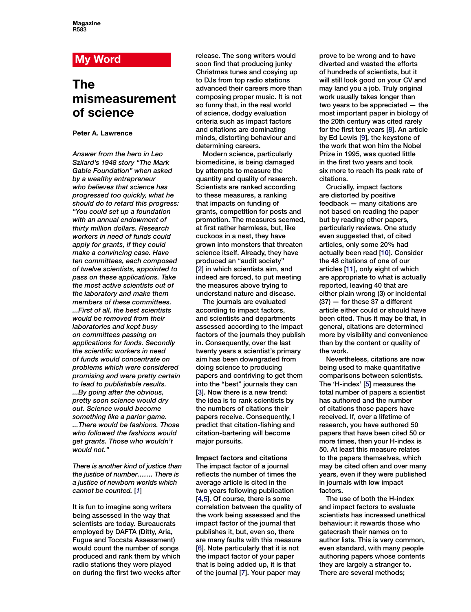# **The mismeasurement of science**

# **Peter A. Lawrence**

*Answer from the hero in Leo Szilard's 1948 story "The Mark Gable Foundation" when asked by a wealthy entrepreneur who believes that science has progressed too quickly, what he should do to retard this progress: "You could set up a foundation with an annual endowment of thirty million dollars. Research workers in need of funds could apply for grants, if they could make a convincing case. Have ten committees, each composed of twelve scientists, appointed to pass on these applications. Take the most active scientists out of the laboratory and make them members of these committees. ...First of all, the best scientists would be removed from their laboratories and kept busy on committees passing on applications for funds. Secondly the scientific workers in need of funds would concentrate on problems which were considered promising and were pretty certain to lead to publishable results. ...By going after the obvious, pretty soon science would dry out. Science would become something like a parlor game. ...There would be fashions. Those who followed the fashions would get grants. Those who wouldn't would not."*

*There is another kind of justice than the justice of number……. There is a justice of newborn worlds which cannot be counted.* [*[1](#page-2-0)*]

It is fun to imagine song writers being assessed in the way that scientists are today. Bureaucrats employed by DAFTA (Ditty, Aria, Fugue and Toccata Assessment) would count the number of songs produced and rank them by which radio stations they were played on during the first two weeks after

**My Word Example 20** release. The song writers would prove to be wrong and to have prove to be wrong and to have prove to be wrong and to have prove to be wrong and to have prove to be wrong and to have prove to be wrong soon find that producing junky Christmas tunes and cosying up to DJs from top radio stations advanced their careers more than composing proper music. It is not so funny that, in the real world of science, dodgy evaluation criteria such as impact factors and citations are dominating minds, distorting behaviour and determining careers.

> Modern science, particularly biomedicine, is being damaged by attempts to measure the quantity and quality of research. Scientists are ranked according to these measures, a ranking that impacts on funding of grants, competition for posts and promotion. The measures seemed, at first rather harmless, but, like cuckoos in a nest, they have grown into monsters that threaten science itself. Already, they have produced an "audit society" [\[2\]](#page-2-0) in which scientists aim, and indeed are forced, to put meeting the measures above trying to understand nature and disease.

> The journals are evaluated according to impact factors, and scientists and departments assessed according to the impact factors of the journals they publish in. Consequently, over the last twenty years a scientist's primary aim has been downgraded from doing science to producing papers and contriving to get them into the "best" journals they can [\[3\].](#page-2-0) Now there is a new trend: the idea is to rank scientists by the numbers of citations their papers receive. Consequently, I predict that citation-fishing and citation-bartering will become major pursuits.

**Impact factors and citations** The impact factor of a journal reflects the number of times the average article is cited in the two years following publication [\[4,5\].](#page-2-0) Of course, there is some correlation between the quality of the work being assessed and the impact factor of the journal that publishes it, but, even so, there are many faults with this measure [\[6\].](#page-2-0) Note particularly that it is not the impact factor of your paper that is being added up, it is that of the journa[l \[7\].](#page-2-0) Your paper may

diverted and wasted the efforts of hundreds of scientists, but it will still look good on your CV and may land you a job. Truly original work usually takes longer than two years to be appreciated — the most important paper in biology of the 20th century was cited rarely for the first ten years [\[8\]](#page-2-0). An article by Ed Lewis [\[9\],](#page-2-0) the keystone of the work that won him the Nobel Prize in 1995, was quoted little in the first two years and took six more to reach its peak rate of citations.

Crucially, impact factors are distorted by positive feedback — many citations are not based on reading the paper but by reading other papers, particularly reviews. One study even suggested that, of cited articles, only some 20% had actually been read [\[10\].](#page-2-0) Consider the 48 citations of one of our articles [\[11\],](#page-2-0) only eight of which are appropriate to what is actually reported, leaving 40 that are either plain wrong (3) or incidental (37) — for these 37 a different article either could or should have been cited. Thus it may be that, in general, citations are determined more by visibility and convenience than by the content or quality of the work.

Nevertheless, citations are now being used to make quantitative comparisons between scientists. The 'H-index' [\[5\]](#page-2-0) measures the total number of papers a scientist has authored and the number of citations those papers have received. If, over a lifetime of research, you have authored 50 papers that have been cited 50 or more times, then your H-index is 50. At least this measure relates to the papers themselves, which may be cited often and over many years, even if they were published in journals with low impact factors.

The use of both the H-index and impact factors to evaluate scientists has increased unethical behaviour: it rewards those who gatecrash their names on to author lists. This is very common, even standard, with many people authoring papers whose contents they are largely a stranger to. There are several methods;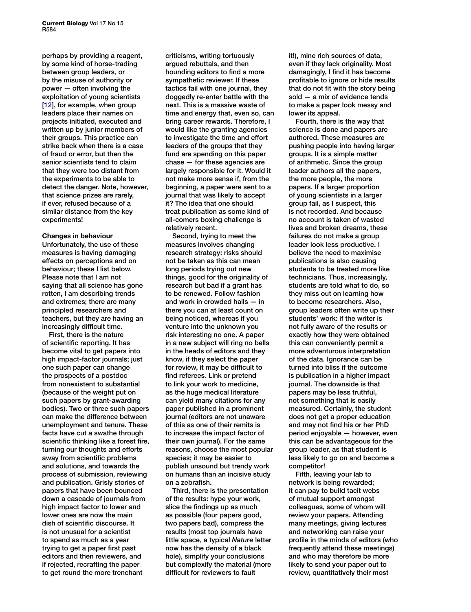perhaps by providing a reagent, by some kind of horse-trading between group leaders, or by the misuse of authority or power — often involving the exploitation of young scientists [\[12\],](#page-2-0) for example, when group leaders place their names on projects initiated, executed and written up by junior members of their groups. This practice can strike back when there is a case of fraud or error, but then the senior scientists tend to claim that they were too distant from the experiments to be able to detect the danger. Note, however, that science prizes are rarely, if ever, refused because of a similar distance from the key experiments!

## **Changes in behaviour**

Unfortunately, the use of these measures is having damaging effects on perceptions and on behaviour; these I list below. Please note that I am not saying that all science has gone rotten, I am describing trends and extremes; there are many principled researchers and teachers, but they are having an increasingly difficult time.

First, there is the nature of scientific reporting. It has become vital to get papers into high impact-factor journals; just one such paper can change the prospects of a postdoc from nonexistent to substantial (because of the weight put on such papers by grant-awarding bodies). Two or three such papers can make the difference between unemployment and tenure. These facts have cut a swathe through scientific thinking like a forest fire, turning our thoughts and efforts away from scientific problems and solutions, and towards the process of submission, reviewing and publication. Grisly stories of papers that have been bounced down a cascade of journals from high impact factor to lower and lower ones are now the main dish of scientific discourse. It is not unusual for a scientist to spend as much as a year trying to get a paper first past editors and then reviewers, and if rejected, recrafting the paper to get round the more trenchant

criticisms, writing tortuously argued rebuttals, and then hounding editors to find a more sympathetic reviewer. If these tactics fail with one journal, they doggedly re-enter battle with the next. This is a massive waste of time and energy that, even so, can bring career rewards. Therefore, I would like the granting agencies to investigate the time and effort leaders of the groups that they fund are spending on this paper chase — for these agencies are largely responsible for it. Would it not make more sense if, from the beginning, a paper were sent to a journal that was likely to accept it? The idea that one should treat publication as some kind of all-comers boxing challenge is relatively recent.

Second, trying to meet the measures involves changing research strategy: risks should not be taken as this can mean long periods trying out new things, good for the originality of research but bad if a grant has to be renewed. Follow fashion and work in crowded halls — in there you can at least count on being noticed, whereas if you venture into the unknown you risk interesting no one. A paper in a new subject will ring no bells in the heads of editors and they know, if they select the paper for review, it may be difficult to find referees. Link or pretend to link your work to medicine, as the huge medical literature can yield many citations for any paper published in a prominent journal (editors are not unaware of this as one of their remits is to increase the impact factor of their own journal). For the same reasons, choose the most popular species; it may be easier to publish unsound but trendy work on humans than an incisive study on a zebrafish.

Third, there is the presentation of the results: hype your work, slice the findings up as much as possible (four papers good, two papers bad), compress the results (most top journals have little space, a typical *Nature* letter now has the density of a black hole), simplify your conclusions but complexify the material (more difficult for reviewers to fault

it!), mine rich sources of data, even if they lack originality. Most damagingly, I find it has become profitable to ignore or hide results that do not fit with the story being sold — a mix of evidence tends to make a paper look messy and lower its appeal.

Fourth, there is the way that science is done and papers are authored. These measures are pushing people into having larger groups. It is a simple matter of arithmetic. Since the group leader authors all the papers, the more people, the more papers. If a larger proportion of young scientists in a larger group fail, as I suspect, this is not recorded. And because no account is taken of wasted lives and broken dreams, these failures do not make a group leader look less productive. I believe the need to maximise publications is also causing students to be treated more like technicians. Thus, increasingly, students are told what to do, so they miss out on learning how to become researchers. Also, group leaders often write up their students' work: if the writer is not fully aware of the results or exactly how they were obtained this can conveniently permit a more adventurous interpretation of the data. Ignorance can be turned into bliss if the outcome is publication in a higher impact journal. The downside is that papers may be less truthful, not something that is easily measured. Certainly, the student does not get a proper education and may not find his or her PhD period enjoyable — however, even this can be advantageous for the group leader, as that student is less likely to go on and become a competitor!

Fifth, leaving your lab to network is being rewarded; it can pay to build tacit webs of mutual support amongst colleagues, some of whom will review your papers. Attending many meetings, giving lectures and networking can raise your profile in the minds of editors (who frequently attend these meetings) and who may therefore be more likely to send your paper out to review, quantitatively their most